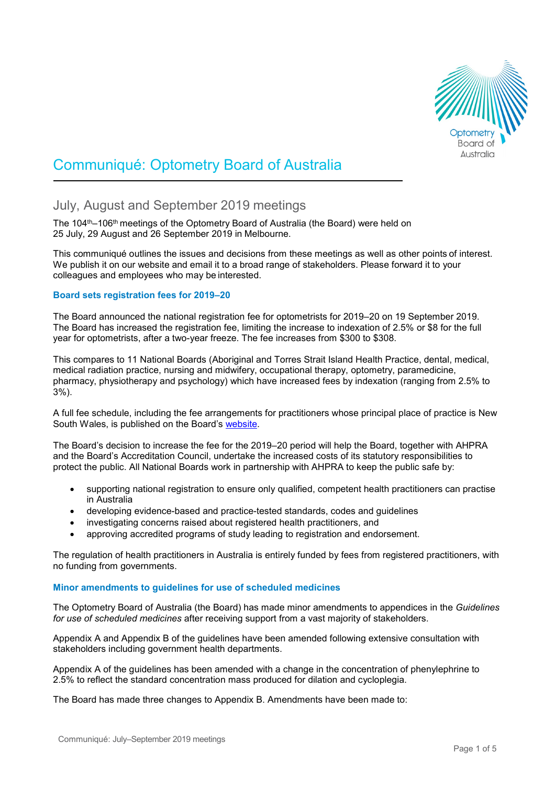

# Communiqué: Optometry Board of Australia

# July, August and September 2019 meetings

The 104<sup>th</sup>–106<sup>th</sup> meetings of the Optometry Board of Australia (the Board) were held on 25 July, 29 August and 26 September 2019 in Melbourne.

This communiqué outlines the issues and decisions from these meetings as well as other points of interest. We publish it on our website and email it to a broad range of stakeholders. Please forward it to your colleagues and employees who may be interested.

# **Board sets registration fees for 2019–20**

The Board announced the national registration fee for optometrists for 2019–20 on 19 September 2019. The Board has increased the registration fee, limiting the increase to indexation of 2.5% or \$8 for the full year for optometrists, after a two-year freeze. The fee increases from \$300 to \$308.

This compares to 11 National Boards (Aboriginal and Torres Strait Island Health Practice, dental, medical, medical radiation practice, nursing and midwifery, occupational therapy, optometry, paramedicine, pharmacy, physiotherapy and psychology) which have increased fees by indexation (ranging from 2.5% to 3%).

A full fee schedule, including the fee arrangements for practitioners whose principal place of practice is New South Wales, is published on the Board's [website.](https://www.optometryboard.gov.au/Registration/Fees.aspx)

The Board's decision to increase the fee for the 2019–20 period will help the Board, together with AHPRA and the Board's Accreditation Council, undertake the increased costs of its statutory responsibilities to protect the public. All National Boards work in partnership with AHPRA to keep the public safe by:

- supporting national registration to ensure only qualified, competent health practitioners can practise in Australia
- developing evidence-based and practice-tested standards, codes and guidelines
- investigating concerns raised about registered health practitioners, and
- approving accredited programs of study leading to registration and endorsement.

The regulation of health practitioners in Australia is entirely funded by fees from registered practitioners, with no funding from governments.

# **Minor amendments to guidelines for use of scheduled medicines**

The Optometry Board of Australia (the Board) has made minor amendments to appendices in the *Guidelines for use of scheduled medicines* after receiving support from a vast majority of stakeholders.

Appendix A and Appendix B of the guidelines have been amended following extensive consultation with stakeholders including government health departments.

Appendix A of the guidelines has been amended with a change in the concentration of phenylephrine to 2.5% to reflect the standard concentration mass produced for dilation and cycloplegia.

The Board has made three changes to Appendix B. Amendments have been made to: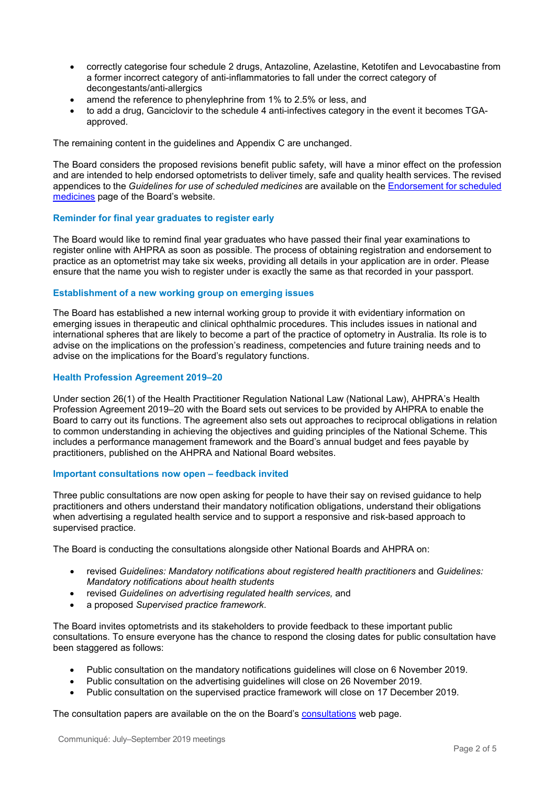- correctly categorise four schedule 2 drugs, Antazoline, Azelastine, Ketotifen and Levocabastine from a former incorrect category of anti-inflammatories to fall under the correct category of decongestants/anti-allergics
- amend the reference to phenylephrine from 1% to 2.5% or less, and
- to add a drug, Ganciclovir to the schedule 4 anti-infectives category in the event it becomes TGAapproved.

The remaining content in the guidelines and Appendix C are unchanged.

The Board considers the proposed revisions benefit public safety, will have a minor effect on the profession and are intended to help endorsed optometrists to deliver timely, safe and quality health services. The revised appendices to the *Guidelines for use of scheduled medicines* are available on the [Endorsement for scheduled](https://www.optometryboard.gov.au/Registration-Standards/Endorsement-for-scheduled-medicines.aspx)  [medicines](https://www.optometryboard.gov.au/Registration-Standards/Endorsement-for-scheduled-medicines.aspx) page of the Board's website.

# **Reminder for final year graduates to register early**

The Board would like to remind final year graduates who have passed their final year examinations to register online with AHPRA as soon as possible. The process of obtaining registration and endorsement to practice as an optometrist may take six weeks, providing all details in your application are in order. Please ensure that the name you wish to register under is exactly the same as that recorded in your passport.

# **Establishment of a new working group on emerging issues**

The Board has established a new internal working group to provide it with evidentiary information on emerging issues in therapeutic and clinical ophthalmic procedures. This includes issues in national and international spheres that are likely to become a part of the practice of optometry in Australia. Its role is to advise on the implications on the profession's readiness, competencies and future training needs and to advise on the implications for the Board's regulatory functions.

# **Health Profession Agreement 2019–20**

Under section 26(1) of the Health Practitioner Regulation National Law (National Law), AHPRA's Health Profession Agreement 2019–20 with the Board sets out services to be provided by AHPRA to enable the Board to carry out its functions. The agreement also sets out approaches to reciprocal obligations in relation to common understanding in achieving the objectives and guiding principles of the National Scheme. This includes a performance management framework and the Board's annual budget and fees payable by practitioners, published on the AHPRA and National Board websites.

# **Important consultations now open – feedback invited**

Three public consultations are now open asking for people to have their say on revised guidance to help practitioners and others understand their mandatory notification obligations, understand their obligations when advertising a regulated health service and to support a responsive and risk-based approach to supervised practice.

The Board is conducting the consultations alongside other National Boards and AHPRA on:

- revised *Guidelines: Mandatory notifications about registered health practitioners* and *Guidelines: Mandatory notifications about health students*
- revised *Guidelines on advertising regulated health services,* and
- a proposed *Supervised practice framework*.

The Board invites optometrists and its stakeholders to provide feedback to these important public consultations. To ensure everyone has the chance to respond the closing dates for public consultation have been staggered as follows:

- Public consultation on the mandatory notifications guidelines will close on 6 November 2019.
- Public consultation on the advertising guidelines will close on 26 November 2019.
- Public consultation on the supervised practice framework will close on 17 December 2019.

The consultation papers are available on the on the Board's [consultations](https://www.optometryboard.gov.au/News/2019-09-11-Public-Consultations.aspx) web page.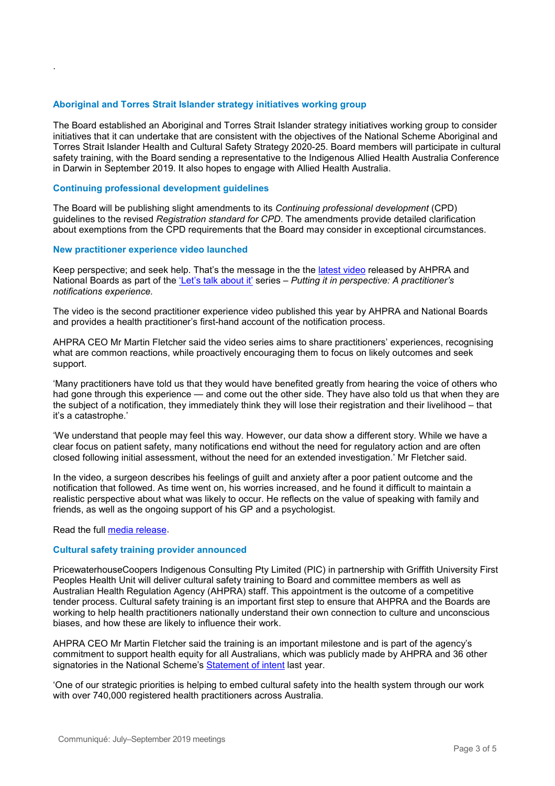# **Aboriginal and Torres Strait Islander strategy initiatives working group**

The Board established an Aboriginal and Torres Strait Islander strategy initiatives working group to consider initiatives that it can undertake that are consistent with the objectives of the National Scheme Aboriginal and Torres Strait Islander Health and Cultural Safety Strategy 2020-25. Board members will participate in cultural safety training, with the Board sending a representative to the Indigenous Allied Health Australia Conference in Darwin in September 2019. It also hopes to engage with Allied Health Australia.

# **Continuing professional development guidelines**

.

The Board will be publishing slight amendments to its *Continuing professional development* (CPD) guidelines to the revised *Registration standard for CPD*. The amendments provide detailed clarification about exemptions from the CPD requirements that the Board may consider in exceptional circumstances.

#### **New practitioner experience video launched**

Keep perspective; and seek help. That's the message in the the [latest video](https://www.ahpra.gov.au/News/2019-08-20-practitioner-experience-video-two.aspx) released by AHPRA and National Boards as part of the ['Let's talk about it'](http://www.ahpra.gov.au/News/2019-03-04-lets-talk-about-it.aspx) series – *Putting it in perspective: A practitioner's notifications experience.* 

The video is the second practitioner experience video published this year by AHPRA and National Boards and provides a health practitioner's first-hand account of the notification process.

AHPRA CEO Mr Martin Fletcher said the video series aims to share practitioners' experiences, recognising what are common reactions, while proactively encouraging them to focus on likely outcomes and seek support.

'Many practitioners have told us that they would have benefited greatly from hearing the voice of others who had gone through this experience — and come out the other side. They have also told us that when they are the subject of a notification, they immediately think they will lose their registration and their livelihood – that it's a catastrophe.'

'We understand that people may feel this way. However, our data show a different story. While we have a clear focus on patient safety, many notifications end without the need for regulatory action and are often closed following initial assessment, without the need for an extended investigation.' Mr Fletcher said.

In the video, a surgeon describes his feelings of guilt and anxiety after a poor patient outcome and the notification that followed. As time went on, his worries increased, and he found it difficult to maintain a realistic perspective about what was likely to occur. He reflects on the value of speaking with family and friends, as well as the ongoing support of his GP and a psychologist.

#### Read the full [media release.](https://www.ahpra.gov.au/News/2019-08-20-practitioner-experience-video-two.aspx)

#### **Cultural safety training provider announced**

PricewaterhouseCoopers Indigenous Consulting Pty Limited (PIC) in partnership with Griffith University First Peoples Health Unit will deliver cultural safety training to Board and committee members as well as Australian Health Regulation Agency (AHPRA) staff. This appointment is the outcome of a competitive tender process. Cultural safety training is an important first step to ensure that AHPRA and the Boards are working to help health practitioners nationally understand their own connection to culture and unconscious biases, and how these are likely to influence their work.

AHPRA CEO Mr Martin Fletcher said the training is an important milestone and is part of the agency's commitment to support health equity for all Australians, which was publicly made by AHPRA and 36 other signatories in the National Scheme's [Statement of intent](https://www.ahpra.gov.au/About-AHPRA/Aboriginal-and-Torres-Strait-Islander-Health-Strategy/Statement-of-intent.aspx) last year.

'One of our strategic priorities is helping to embed cultural safety into the health system through our work with over 740,000 registered health practitioners across Australia.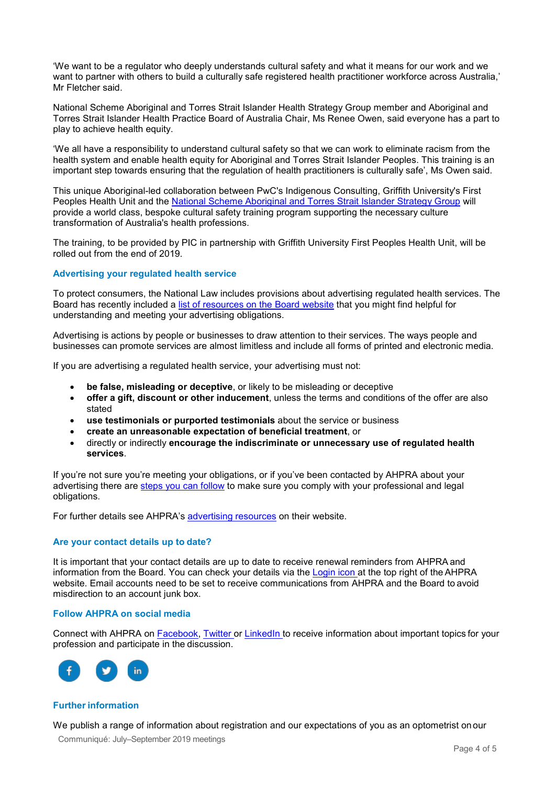'We want to be a regulator who deeply understands cultural safety and what it means for our work and we want to partner with others to build a culturally safe registered health practitioner workforce across Australia,' Mr Fletcher said.

National Scheme Aboriginal and Torres Strait Islander Health Strategy Group member and Aboriginal and Torres Strait Islander Health Practice Board of Australia Chair, Ms Renee Owen, said everyone has a part to play to achieve health equity.

'We all have a responsibility to understand cultural safety so that we can work to eliminate racism from the health system and enable health equity for Aboriginal and Torres Strait Islander Peoples. This training is an important step towards ensuring that the regulation of health practitioners is culturally safe', Ms Owen said.

This unique Aboriginal-led collaboration between PwC's Indigenous Consulting, Griffith University's First Peoples Health Unit and the [National Scheme Aboriginal and Torres Strait Islander Strategy Group](https://www.ahpra.gov.au/About-AHPRA/Aboriginal-and-Torres-Strait-Islander-Health-Strategy.aspx) will provide a world class, bespoke cultural safety training program supporting the necessary culture transformation of Australia's health professions.

The training, to be provided by PIC in partnership with Griffith University First Peoples Health Unit, will be rolled out from the end of 2019.

# **Advertising your regulated health service**

To protect consumers, the National Law includes provisions about advertising regulated health services. The Board has recently included a [list of resources on the Board website](https://www.osteopathyboard.gov.au/Codes-Guidelines/Advertising-a-regulated-health-service.aspx) that you might find helpful for understanding and meeting your advertising obligations.

Advertising is actions by people or businesses to draw attention to their services. The ways people and businesses can promote services are almost limitless and include all forms of printed and electronic media.

If you are advertising a regulated health service, your advertising must not:

- **be false, misleading or deceptive**, or likely to be misleading or deceptive
- **offer a gift, discount or other inducement**, unless the terms and conditions of the offer are also stated
- **use testimonials or purported testimonials** about the service or business
- **create an unreasonable expectation of beneficial treatment**, or
- directly or indirectly **encourage the indiscriminate or unnecessary use of regulated health services**.

If you're not sure you're meeting your obligations, or if you've been contacted by AHPRA about your advertising there are [steps you can follow](https://www.osteopathyboard.gov.au/Codes-Guidelines/Advertising-a-regulated-health-service.aspx) to make sure you comply with your professional and legal obligations.

For further details see AHPRA's [advertising resources](https://www.ahpra.gov.au/Publications/Advertising-resources.aspx) on their website.

# **Are your contact details up to date?**

It is important that your contact details are up to date to receive renewal reminders from AHPRA and information from the Board. You can check your details via the [Login icon a](https://www.ahpra.gov.au/)t the top right of the AHPRA website. Email accounts need to be set to receive communications from AHPRA and the Board to avoid misdirection to an account junk box.

#### **Follow AHPRA on social media**

Connect with AHPRA on [Facebook,](https://www.facebook.com/ahpra.gov.au/) [Twitter o](https://twitter.com/AHPRA)r [LinkedIn t](https://www.linkedin.com/company/australian-health-practitioner-regulation-agency)o receive information about important topics for your profession and participate in the discussion.



#### **Further information**

We publish a range of information about registration and our expectations of you as an optometrist onour

Communiqué: July–September 2019 meetings